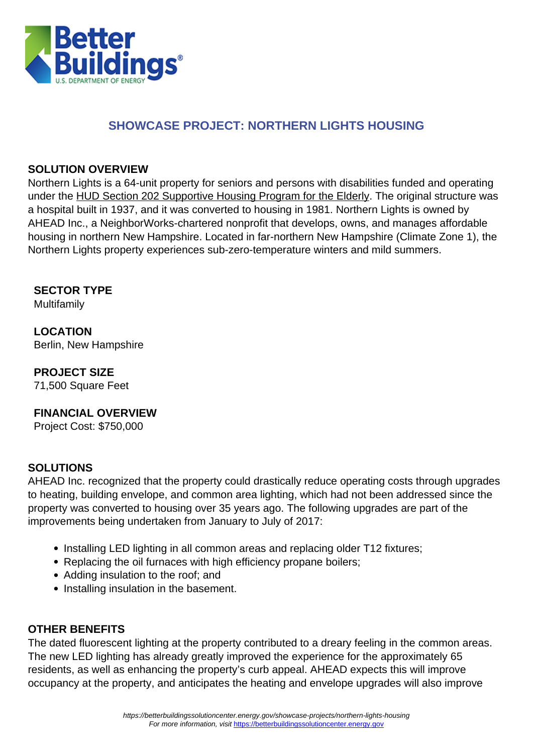

### **SHOWCASE PROJECT: NORTHERN LIGHTS HOUSING**

#### **SOLUTION OVERVIEW**

Northern Lights is a 64-unit property for seniors and persons with disabilities funded and operating under the [HUD Section 202 Supportive Housing Program for the Elderly.](https://portal.hud.gov/hudportal/HUD?src=/program_offices/housing/mfh/progdesc/eld202) The original structure was a hospital built in 1937, and it was converted to housing in 1981. Northern Lights is owned by AHEAD Inc., a NeighborWorks-chartered nonprofit that develops, owns, and manages affordable housing in northern New Hampshire. Located in far-northern New Hampshire (Climate Zone 1), the Northern Lights property experiences sub-zero-temperature winters and mild summers.

**SECTOR TYPE**

Multifamily

**LOCATION** Berlin, New Hampshire

**PROJECT SIZE**

71,500 Square Feet

#### **FINANCIAL OVERVIEW**

Project Cost: \$750,000

#### **SOLUTIONS**

AHEAD Inc. recognized that the property could drastically reduce operating costs through upgrades to heating, building envelope, and common area lighting, which had not been addressed since the property was converted to housing over 35 years ago. The following upgrades are part of the improvements being undertaken from January to July of 2017:

- Installing LED lighting in all common areas and replacing older T12 fixtures;
- Replacing the oil furnaces with high efficiency propane boilers;
- Adding insulation to the roof: and
- Installing insulation in the basement.

#### **OTHER BENEFITS**

The dated fluorescent lighting at the property contributed to a dreary feeling in the common areas. The new LED lighting has already greatly improved the experience for the approximately 65 residents, as well as enhancing the property's curb appeal. AHEAD expects this will improve occupancy at the property, and anticipates the heating and envelope upgrades will also improve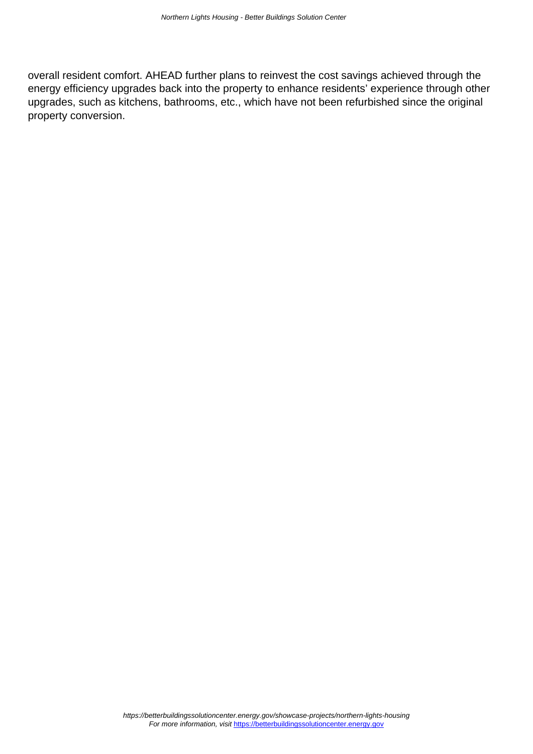overall resident comfort. AHEAD further plans to reinvest the cost savings achieved through the energy efficiency upgrades back into the property to enhance residents' experience through other upgrades, such as kitchens, bathrooms, etc., which have not been refurbished since the original property conversion.